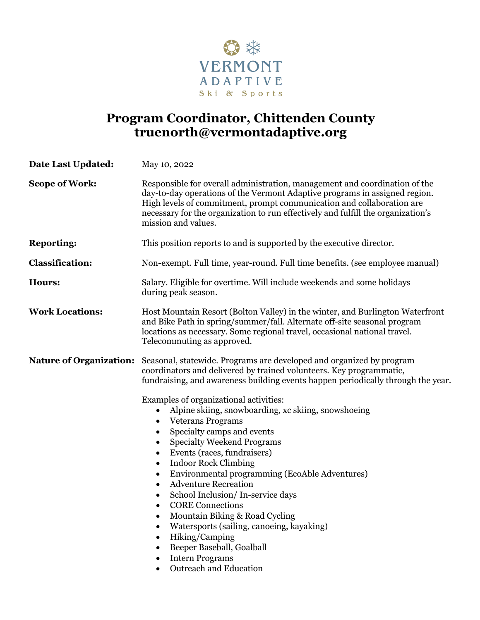

# **Program Coordinator, Chittenden County truenorth@vermontadaptive.org**

| <b>Date Last Updated:</b>      | May 10, 2022                                                                                                                                                                                                                                                                                                                                                                                                                                                                                                                                                                                                                                 |
|--------------------------------|----------------------------------------------------------------------------------------------------------------------------------------------------------------------------------------------------------------------------------------------------------------------------------------------------------------------------------------------------------------------------------------------------------------------------------------------------------------------------------------------------------------------------------------------------------------------------------------------------------------------------------------------|
| <b>Scope of Work:</b>          | Responsible for overall administration, management and coordination of the<br>day-to-day operations of the Vermont Adaptive programs in assigned region.<br>High levels of commitment, prompt communication and collaboration are<br>necessary for the organization to run effectively and fulfill the organization's<br>mission and values.                                                                                                                                                                                                                                                                                                 |
| <b>Reporting:</b>              | This position reports to and is supported by the executive director.                                                                                                                                                                                                                                                                                                                                                                                                                                                                                                                                                                         |
| <b>Classification:</b>         | Non-exempt. Full time, year-round. Full time benefits. (see employee manual)                                                                                                                                                                                                                                                                                                                                                                                                                                                                                                                                                                 |
| <b>Hours:</b>                  | Salary. Eligible for overtime. Will include weekends and some holidays<br>during peak season.                                                                                                                                                                                                                                                                                                                                                                                                                                                                                                                                                |
| <b>Work Locations:</b>         | Host Mountain Resort (Bolton Valley) in the winter, and Burlington Waterfront<br>and Bike Path in spring/summer/fall. Alternate off-site seasonal program<br>locations as necessary. Some regional travel, occasional national travel.<br>Telecommuting as approved.                                                                                                                                                                                                                                                                                                                                                                         |
| <b>Nature of Organization:</b> | Seasonal, statewide. Programs are developed and organized by program<br>coordinators and delivered by trained volunteers. Key programmatic,<br>fundraising, and awareness building events happen periodically through the year.                                                                                                                                                                                                                                                                                                                                                                                                              |
|                                | Examples of organizational activities:<br>Alpine skiing, snowboarding, xc skiing, snowshoeing<br><b>Veterans Programs</b><br>$\bullet$<br>Specialty camps and events<br>٠<br><b>Specialty Weekend Programs</b><br>٠<br>Events (races, fundraisers)<br><b>Indoor Rock Climbing</b><br>٠<br>Environmental programming (EcoAble Adventures)<br><b>Adventure Recreation</b><br>School Inclusion/In-service days<br><b>CORE Connections</b><br>$\bullet$<br>Mountain Biking & Road Cycling<br>Watersports (sailing, canoeing, kayaking)<br>Hiking/Camping<br>Beeper Baseball, Goalball<br><b>Intern Programs</b><br><b>Outreach and Education</b> |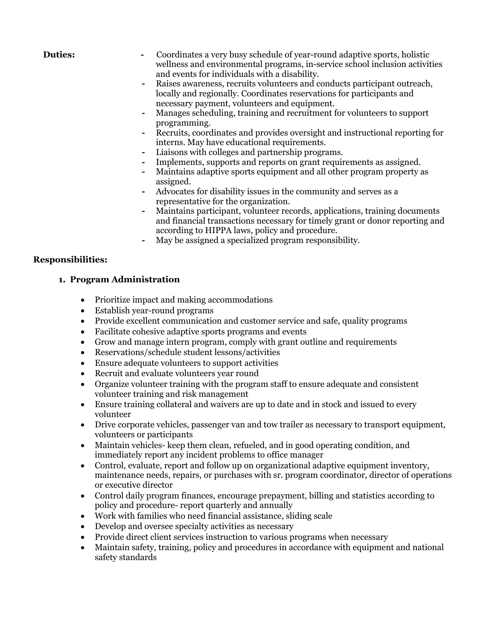- **Duties:** Coordinates a very busy schedule of year-round adaptive sports, holistic wellness and environmental programs, in-service school inclusion activities and events for individuals with a disability.
	- **-** Raises awareness, recruits volunteers and conducts participant outreach, locally and regionally. Coordinates reservations for participants and necessary payment, volunteers and equipment.
	- **-** Manages scheduling, training and recruitment for volunteers to support programming.
	- **-** Recruits, coordinates and provides oversight and instructional reporting for interns. May have educational requirements.
	- **-** Liaisons with colleges and partnership programs.
	- **-** Implements, supports and reports on grant requirements as assigned.
	- **-** Maintains adaptive sports equipment and all other program property as assigned.
	- **-** Advocates for disability issues in the community and serves as a representative for the organization.
	- **-** Maintains participant, volunteer records, applications, training documents and financial transactions necessary for timely grant or donor reporting and according to HIPPA laws, policy and procedure.
	- **-** May be assigned a specialized program responsibility.

## **Responsibilities:**

## **1. Program Administration**

- Prioritize impact and making accommodations
- Establish year-round programs
- Provide excellent communication and customer service and safe, quality programs
- Facilitate cohesive adaptive sports programs and events
- Grow and manage intern program, comply with grant outline and requirements
- Reservations/schedule student lessons/activities
- Ensure adequate volunteers to support activities
- Recruit and evaluate volunteers year round
- Organize volunteer training with the program staff to ensure adequate and consistent volunteer training and risk management
- Ensure training collateral and waivers are up to date and in stock and issued to every volunteer
- Drive corporate vehicles, passenger van and tow trailer as necessary to transport equipment, volunteers or participants
- Maintain vehicles- keep them clean, refueled, and in good operating condition, and immediately report any incident problems to office manager
- Control, evaluate, report and follow up on organizational adaptive equipment inventory, maintenance needs, repairs, or purchases with sr. program coordinator, director of operations or executive director
- Control daily program finances, encourage prepayment, billing and statistics according to policy and procedure- report quarterly and annually
- Work with families who need financial assistance, sliding scale
- Develop and oversee specialty activities as necessary
- Provide direct client services instruction to various programs when necessary
- Maintain safety, training, policy and procedures in accordance with equipment and national safety standards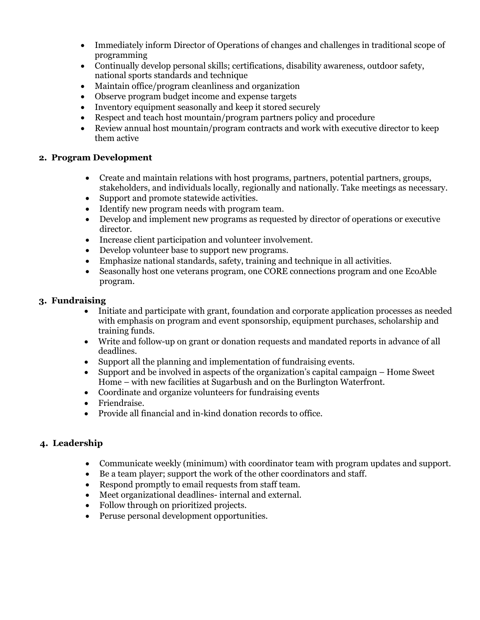- Immediately inform Director of Operations of changes and challenges in traditional scope of programming
- Continually develop personal skills; certifications, disability awareness, outdoor safety, national sports standards and technique
- Maintain office/program cleanliness and organization
- Observe program budget income and expense targets
- Inventory equipment seasonally and keep it stored securely
- Respect and teach host mountain/program partners policy and procedure
- Review annual host mountain/program contracts and work with executive director to keep them active

#### **2. Program Development**

- Create and maintain relations with host programs, partners, potential partners, groups, stakeholders, and individuals locally, regionally and nationally. Take meetings as necessary.
- Support and promote statewide activities.
- Identify new program needs with program team.
- Develop and implement new programs as requested by director of operations or executive director.
- Increase client participation and volunteer involvement.
- Develop volunteer base to support new programs.
- Emphasize national standards, safety, training and technique in all activities.
- Seasonally host one veterans program, one CORE connections program and one EcoAble program.

#### **3. Fundraising**

- Initiate and participate with grant, foundation and corporate application processes as needed with emphasis on program and event sponsorship, equipment purchases, scholarship and training funds.
- Write and follow-up on grant or donation requests and mandated reports in advance of all deadlines.
- Support all the planning and implementation of fundraising events.
- Support and be involved in aspects of the organization's capital campaign Home Sweet Home – with new facilities at Sugarbush and on the Burlington Waterfront.
- Coordinate and organize volunteers for fundraising events
- Friendraise.
- Provide all financial and in-kind donation records to office.

# **4. Leadership**

- Communicate weekly (minimum) with coordinator team with program updates and support.
- Be a team player; support the work of the other coordinators and staff.
- Respond promptly to email requests from staff team.
- Meet organizational deadlines- internal and external.
- Follow through on prioritized projects.
- Peruse personal development opportunities.